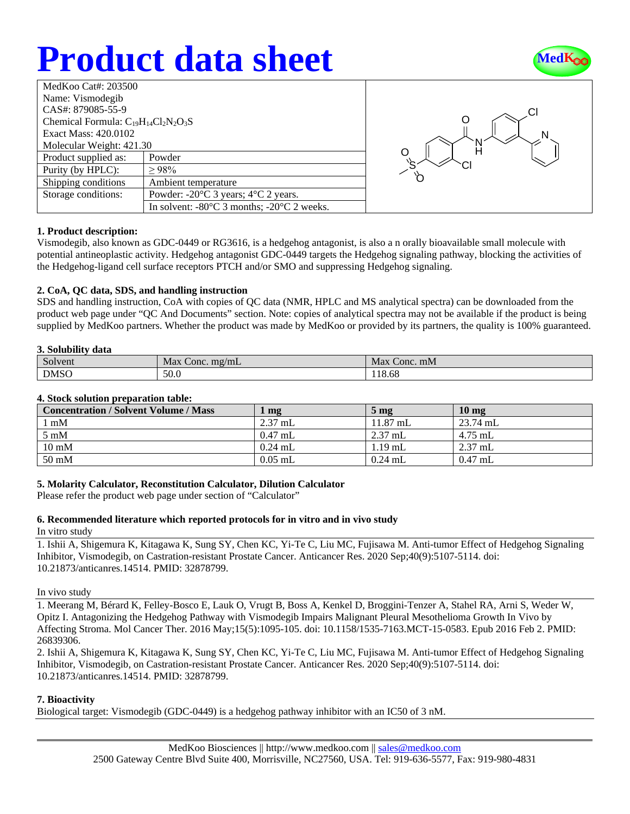## **Product data sheet**



| MedKoo Cat#: 203500                         |                                                                |  |
|---------------------------------------------|----------------------------------------------------------------|--|
| Name: Vismodegib                            |                                                                |  |
| CAS#: 879085-55-9                           |                                                                |  |
| Chemical Formula: $C_{19}H_{14}Cl_2N_2O_3S$ |                                                                |  |
| Exact Mass: 420.0102                        |                                                                |  |
| Molecular Weight: 421.30                    |                                                                |  |
| Product supplied as:                        | Powder                                                         |  |
| Purity (by HPLC):                           | >98%                                                           |  |
| Shipping conditions                         | Ambient temperature                                            |  |
| Storage conditions:                         | Powder: $-20^{\circ}$ C 3 years; $4^{\circ}$ C 2 years.        |  |
|                                             | In solvent: $-80^{\circ}$ C 3 months; $-20^{\circ}$ C 2 weeks. |  |



## **1. Product description:**

Vismodegib, also known as GDC-0449 or RG3616, is a hedgehog antagonist, is also a n orally bioavailable small molecule with potential antineoplastic activity. Hedgehog antagonist GDC-0449 targets the Hedgehog signaling pathway, blocking the activities of the Hedgehog-ligand cell surface receptors PTCH and/or SMO and suppressing Hedgehog signaling.

## **2. CoA, QC data, SDS, and handling instruction**

SDS and handling instruction, CoA with copies of QC data (NMR, HPLC and MS analytical spectra) can be downloaded from the product web page under "QC And Documents" section. Note: copies of analytical spectra may not be available if the product is being supplied by MedKoo partners. Whether the product was made by MedKoo or provided by its partners, the quality is 100% guaranteed.

#### **3. Solubility data**

| -------           |                                    |                 |  |  |
|-------------------|------------------------------------|-----------------|--|--|
| $\sim$<br>Solvent | $\sigma$ Conc. mg/mL<br><b>Max</b> | Max<br>Conc. mM |  |  |
| <b>DMSO</b>       | 50.0                               | 118.68          |  |  |

#### **4. Stock solution preparation table:**

| <b>Concentration / Solvent Volume / Mass</b> | $\mathbf{mg}$     | $5 \text{ mg}$     | 10 <sub>mg</sub> |
|----------------------------------------------|-------------------|--------------------|------------------|
| l mM                                         | $2.37 \text{ mL}$ | $11.87 \text{ mL}$ | $23.74$ mL       |
| $5 \text{ mM}$                               | $0.47$ mL         | $2.37$ mL          | 4.75 mL          |
| $10 \text{ mM}$                              | $0.24$ mL         | $1.19$ mL          | $2.37$ mL        |
| $50 \text{ mM}$                              | $0.05$ mL         | $0.24$ mL          | $0.47$ mL        |

## **5. Molarity Calculator, Reconstitution Calculator, Dilution Calculator**

Please refer the product web page under section of "Calculator"

## **6. Recommended literature which reported protocols for in vitro and in vivo study**

In vitro study

1. Ishii A, Shigemura K, Kitagawa K, Sung SY, Chen KC, Yi-Te C, Liu MC, Fujisawa M. Anti-tumor Effect of Hedgehog Signaling Inhibitor, Vismodegib, on Castration-resistant Prostate Cancer. Anticancer Res. 2020 Sep;40(9):5107-5114. doi: 10.21873/anticanres.14514. PMID: 32878799.

#### In vivo study

1. Meerang M, Bérard K, Felley-Bosco E, Lauk O, Vrugt B, Boss A, Kenkel D, Broggini-Tenzer A, Stahel RA, Arni S, Weder W, Opitz I. Antagonizing the Hedgehog Pathway with Vismodegib Impairs Malignant Pleural Mesothelioma Growth In Vivo by Affecting Stroma. Mol Cancer Ther. 2016 May;15(5):1095-105. doi: 10.1158/1535-7163.MCT-15-0583. Epub 2016 Feb 2. PMID: 26839306.

2. Ishii A, Shigemura K, Kitagawa K, Sung SY, Chen KC, Yi-Te C, Liu MC, Fujisawa M. Anti-tumor Effect of Hedgehog Signaling Inhibitor, Vismodegib, on Castration-resistant Prostate Cancer. Anticancer Res. 2020 Sep;40(9):5107-5114. doi: 10.21873/anticanres.14514. PMID: 32878799.

## **7. Bioactivity**

Biological target: Vismodegib (GDC-0449) is a hedgehog pathway inhibitor with an IC50 of 3 nM.